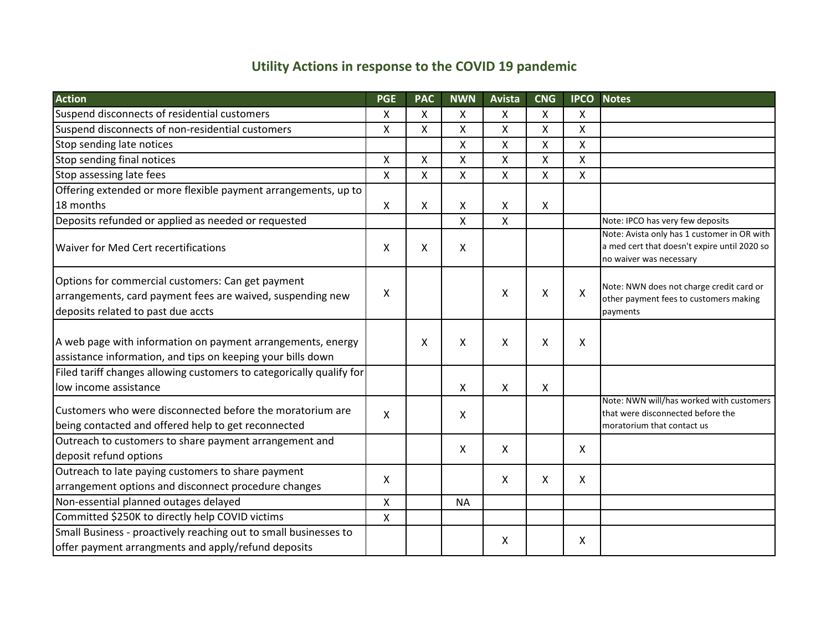## **Utility Actions in response to the COVID 19 pandemic**

| <b>Action</b>                                                                                                                                         | <b>PGE</b>   | <b>PAC</b> | <b>NWN</b> | <b>Avista</b>             | <b>CNG</b> | <b>IPCO</b>        | <b>Notes</b>                                                                                                           |
|-------------------------------------------------------------------------------------------------------------------------------------------------------|--------------|------------|------------|---------------------------|------------|--------------------|------------------------------------------------------------------------------------------------------------------------|
| Suspend disconnects of residential customers                                                                                                          | X            | X          | X          | X                         | X          | X                  |                                                                                                                        |
| Suspend disconnects of non-residential customers                                                                                                      | X            | X          | Χ          | X                         | X          | X                  |                                                                                                                        |
| Stop sending late notices                                                                                                                             |              |            | X          | Χ                         | X          | X                  |                                                                                                                        |
| Stop sending final notices                                                                                                                            | X            | Χ          | X          | X                         | X          | X                  |                                                                                                                        |
| Stop assessing late fees                                                                                                                              | $\mathsf{x}$ | X          | X          | $\mathsf{x}$              | X          | $\pmb{\mathsf{X}}$ |                                                                                                                        |
| Offering extended or more flexible payment arrangements, up to                                                                                        |              |            |            |                           |            |                    |                                                                                                                        |
| 18 months                                                                                                                                             | $\mathsf{X}$ | X          | Χ          | X                         | X          |                    |                                                                                                                        |
| Deposits refunded or applied as needed or requested                                                                                                   |              |            | Χ          | $\pmb{\mathsf{X}}$        |            |                    | Note: IPCO has very few deposits                                                                                       |
| Waiver for Med Cert recertifications                                                                                                                  | X            | X          | X          |                           |            |                    | Note: Avista only has 1 customer in OR with<br>a med cert that doesn't expire until 2020 so<br>no waiver was necessary |
| Options for commercial customers: Can get payment<br>arrangements, card payment fees are waived, suspending new<br>deposits related to past due accts | X            |            |            | X                         | X          | X                  | Note: NWN does not charge credit card or<br>other payment fees to customers making<br>payments                         |
| A web page with information on payment arrangements, energy<br>assistance information, and tips on keeping your bills down                            |              | X          | X          | X                         | X          | X                  |                                                                                                                        |
| Filed tariff changes allowing customers to categorically qualify for<br>low income assistance                                                         |              |            | X          | X                         | X          |                    |                                                                                                                        |
| ICustomers who were disconnected before the moratorium are<br>being contacted and offered help to get reconnected                                     | X            |            | X          |                           |            |                    | Note: NWN will/has worked with customers<br>that were disconnected before the<br>moratorium that contact us            |
| Outreach to customers to share payment arrangement and<br>deposit refund options                                                                      |              |            | X          | X                         |            | $\mathsf{X}$       |                                                                                                                        |
| Outreach to late paying customers to share payment<br>arrangement options and disconnect procedure changes                                            | X            |            |            | $\boldsymbol{\mathsf{X}}$ | X          | X                  |                                                                                                                        |
| Non-essential planned outages delayed                                                                                                                 | Χ            |            | <b>NA</b>  |                           |            |                    |                                                                                                                        |
| Committed \$250K to directly help COVID victims                                                                                                       | $\mathsf{X}$ |            |            |                           |            |                    |                                                                                                                        |
| Small Business - proactively reaching out to small businesses to<br>offer payment arrangments and apply/refund deposits                               |              |            |            | X                         |            | X                  |                                                                                                                        |